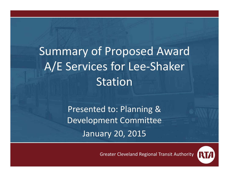## Summary of Proposed Award A/E Services for Lee‐Shaker Station

Presented to: Planning & Development Committee January 20, 2015

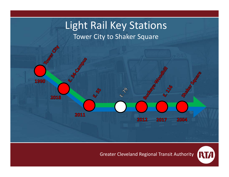

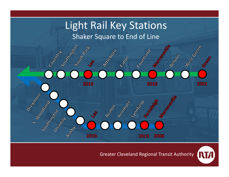

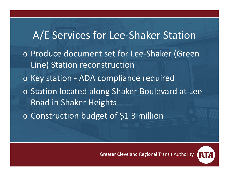A/E Services for Lee‐Shaker Station o Produce document set for Lee‐Shaker (Green Line) Station reconstruction o Key station ‐ ADA compliance required o Station located along Shaker Boulevard at Lee Road in Shaker Heights o Construction budget of \$1.3 million

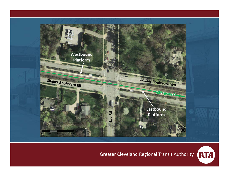

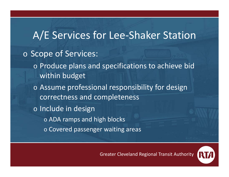### A/E Services for Lee‐Shaker Station o Scope of Services: o Produce plans and specifications to achieve bid within budget o Assume professional responsibility for design correctness and completeness o Include in design  $\circ$  ADA ramps and high blocks o Covered passenger waiting areas

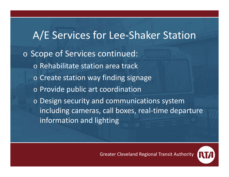## A/E Services for Lee‐Shaker Station o Scope of Services continued: o Rehabilitate station area track  $\circ$  Create station way finding signage o Provide public art coordination o Design security and communications system including cameras, call boxes, real‐time departure information and lighting

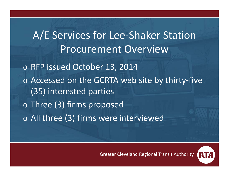A/E Services for Lee‐Shaker Station Procurement Overviewo RFP issued October 13, 2014 o Accessed on the GCRTA web site by thirty‐five (35) interested parties o Three (3) firms proposed  $\, \circ \,$  All three (3) firms were interviewed

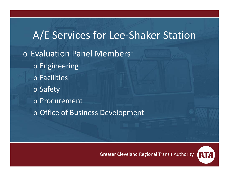A/E Services for Lee-Shaker Station o Evaluation Panel Members: o Engineering o Facilities o Safety o Procurement o Office of Business Development

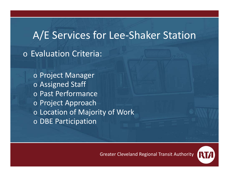#### A/E Services for Lee‐Shaker Station

o Evaluation Criteria:

o Project Manager o Assigned Staff o Past Performance o Project Approach o Location of Majority of Work o DBE Participation

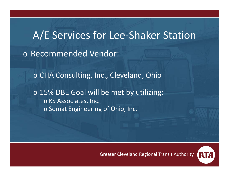# A/E Services for Lee‐Shaker Station o Recommended Vendor:

o CHA Consulting, Inc., Cleveland, Ohio

o 15% DBE Goal will be met by utilizing: o KS Associates, Inc.  $\circ$  Somat Engineering of Ohio, Inc.

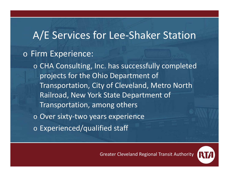#### A/E Services for Lee‐Shaker Station

#### o Firm Experience:

o CHA Consulting, Inc. has successfully completed projects for the Ohio Department of Transportation, City of Cleveland, Metro North Railroad, New York State Department of Transportation, among others

- o Over sixty‐two years experience
- o Experienced/qualified staff